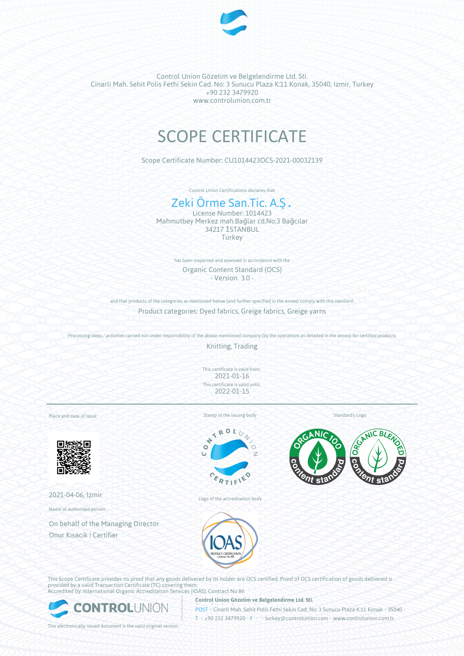

# SCOPE CERTIFICATE

Scope Certificate Number: CU1014423OCS-2021-00032139

Control Union Certifications declares that

# Zeki Örme San.Tic. A.Ş.

License Number: 1014423 Mahmutbey Merkez mah.Bağlar cd.No:3 Bağcılar 34217 İSTANBUL **Turkey** 

> has been inspected and assessed in accordance with the Organic Content Standard (OCS) - Version 3.0 -

and that products of the categories as mentioned below (and further specified in the annex) comply with this standard: Product categories: Dyed fabrics, Greige fabrics, Greige yarns

Processing steps / activities carried out under responsibility of the above-mentioned company (by the operations as detailed in the annex) for certified products

Knitting, Trading

This certificate is valid from: 2021-01-16 This certificate is valid until: 2022-01-15

Place and date of issue:



2021-04-06, Izmir

Name of authorised person:

On behalf of the Managing Director Onur Kısacık | Certifier

Stamp of the issuing body



Logo of the accreditation body

Standard's Logo



This Scope Certificate provides no proof that any goods delivered by its holder are OCS certified. Proof of OCS certification of goods delivered is provided by a valid Transaction Certificate (TC) covering them. Accredited by: International Organic Accreditation Services (IOAS); Contract No 86



**Control Union Gözetim ve Belgelendirme Ltd. Sti.**

POST • Cinarli Mah. Sehit Polis Fethi Sekin Cad. No: 3 Sunucu Plaza K:11 Konak • 35040 • T • +90 232 3479920 • F • • turkey@controlunion.com • www.controlunion.com.tr

This electronically issued document is the valid original version.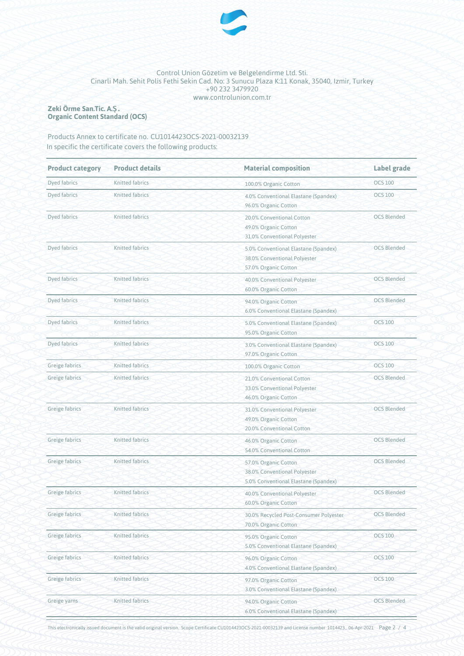

#### **Zeki Örme San.Tic. A.Ş. Organic Content Standard (OCS)**

# Products Annex to certificate no. CU1014423OCS-2021-00032139 In specific the certificate covers the following products:

| <b>Product category</b> | <b>Product details</b> | <b>Material composition</b>                                                                  | Label grade        |  |
|-------------------------|------------------------|----------------------------------------------------------------------------------------------|--------------------|--|
| Dyed fabrics            | Knitted fabrics        | 100.0% Organic Cotton                                                                        | <b>OCS 100</b>     |  |
| Dyed fabrics            | Knitted fabrics        | 4.0% Conventional Elastane (Spandex)<br>96.0% Organic Cotton                                 | <b>OCS 100</b>     |  |
| Dyed fabrics            | Knitted fabrics        | 20.0% Conventional Cotton<br>49.0% Organic Cotton<br>31.0% Conventional Polyester            | <b>OCS Blended</b> |  |
| Dyed fabrics            | Knitted fabrics        | 5.0% Conventional Elastane (Spandex)<br>38.0% Conventional Polyester<br>57.0% Organic Cotton | <b>OCS Blended</b> |  |
| Dyed fabrics            | Knitted fabrics        | 40.0% Conventional Polyester<br>60.0% Organic Cotton                                         | <b>OCS Blended</b> |  |
| Dyed fabrics            | <b>Knitted fabrics</b> | 94.0% Organic Cotton<br>6.0% Conventional Elastane (Spandex)                                 | <b>OCS Blended</b> |  |
| Dyed fabrics            | Knitted fabrics        | 5.0% Conventional Elastane (Spandex)<br>95.0% Organic Cotton                                 | <b>OCS 100</b>     |  |
| Dyed fabrics            | Knitted fabrics        | 3.0% Conventional Elastane (Spandex)<br>97.0% Organic Cotton                                 | <b>OCS 100</b>     |  |
| Greige fabrics          | Knitted fabrics        | 100.0% Organic Cotton                                                                        | <b>OCS 100</b>     |  |
| Greige fabrics          | Knitted fabrics        | 21.0% Conventional Cotton<br>33.0% Conventional Polyester<br>46.0% Organic Cotton            | <b>OCS Blended</b> |  |
| Greige fabrics          | Knitted fabrics        | 31.0% Conventional Polyester<br>49.0% Organic Cotton<br>20.0% Conventional Cotton            | <b>OCS Blended</b> |  |
| Greige fabrics          | Knitted fabrics        | 46.0% Organic Cotton<br>54.0% Conventional Cotton                                            | <b>OCS Blended</b> |  |
| Greige fabrics          | Knitted fabrics        | 57.0% Organic Cotton<br>38.0% Conventional Polyester<br>5.0% Conventional Elastane (Spandex) | <b>OCS Blended</b> |  |
| Greige fabrics          | <b>Knitted fabrics</b> | 40.0% Conventional Polyester<br>60.0% Organic Cotton                                         | <b>OCS Blended</b> |  |
| Greige fabrics          | Knitted fabrics        | 30.0% Recycled Post-Consumer Polyester<br>70.0% Organic Cotton                               | <b>OCS Blended</b> |  |
| Greige fabrics          | Knitted fabrics        | 95.0% Organic Cotton<br>5.0% Conventional Elastane (Spandex)                                 | <b>OCS 100</b>     |  |
| Greige fabrics          | Knitted fabrics        | 96.0% Organic Cotton<br>4.0% Conventional Elastane (Spandex)                                 | <b>OCS 100</b>     |  |
| Greige fabrics          | Knitted fabrics        | 97.0% Organic Cotton<br>3.0% Conventional Elastane (Spandex)                                 | <b>OCS 100</b>     |  |
| Greige yarns            | Knitted fabrics        | 94.0% Organic Cotton<br>6.0% Conventional Elastane (Spandex)                                 | <b>OCS Blended</b> |  |

This electronically issued document is the valid original version. Scope Certificate CU1014423OCS-2021-00032139 and License number 1014423 , 06-Apr-2021 Page 2 / 4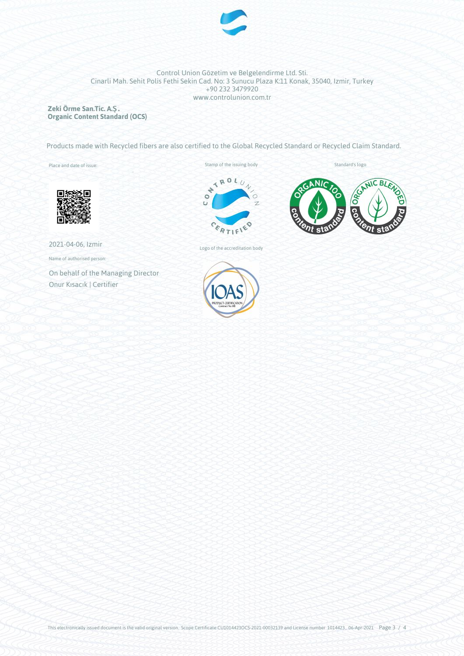

**Zeki Örme San.Tic. A.Ş. Organic Content Standard (OCS)**

Products made with Recycled fibers are also certified to the Global Recycled Standard or Recycled Claim Standard.

Place and date of issue:





2021-04-06, Izmir

Name of authorised person:

On behalf of the Managing Director Onur Kısacık | Certifier



Logo of the accreditation body